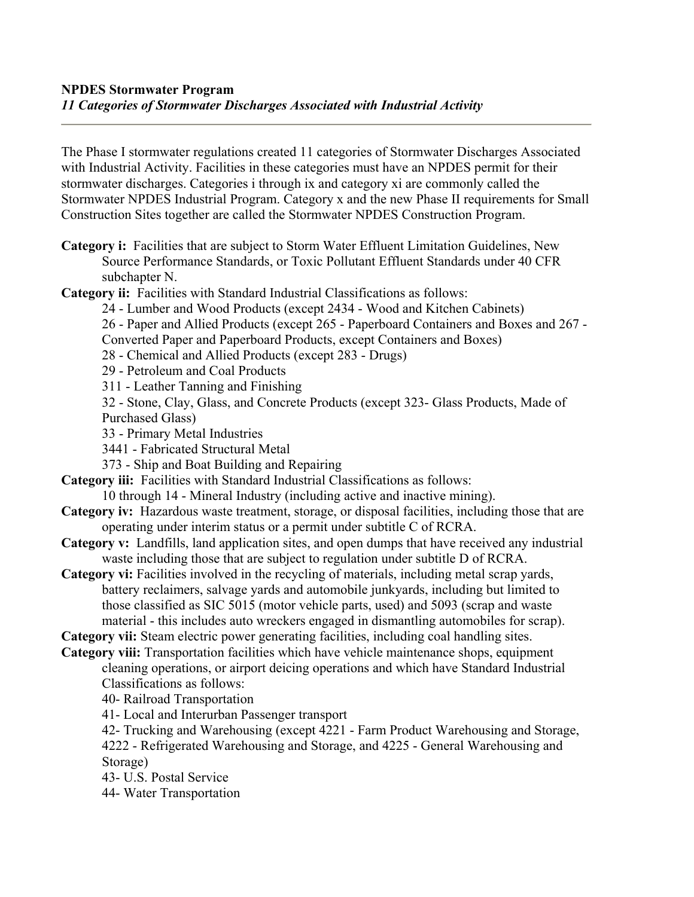The Phase I stormwater regulations created 11 categories of Stormwater Discharges Associated with Industrial Activity. Facilities in these categories must have an NPDES permit for their stormwater discharges. Categories i through ix and category xi are commonly called the Stormwater NPDES Industrial Program. Category x and the new Phase II requirements for Small Construction Sites together are called the Stormwater NPDES Construction Program.

**Category i:** Facilities that are subject to Storm Water Effluent Limitation Guidelines, New Source Performance Standards, or Toxic Pollutant Effluent Standards under 40 CFR subchapter N.

**Category ii:** Facilities with Standard Industrial Classifications as follows:

24 - Lumber and Wood Products (except 2434 - Wood and Kitchen Cabinets)

26 - Paper and Allied Products (except 265 - Paperboard Containers and Boxes and 267 - Converted Paper and Paperboard Products, except Containers and Boxes)

28 - Chemical and Allied Products (except 283 - Drugs)

29 - Petroleum and Coal Products

311 - Leather Tanning and Finishing

32 - Stone, Clay, Glass, and Concrete Products (except 323- Glass Products, Made of Purchased Glass)

33 - Primary Metal Industries

3441 - Fabricated Structural Metal

373 - Ship and Boat Building and Repairing

**Category iii:** Facilities with Standard Industrial Classifications as follows:

- 10 through 14 Mineral Industry (including active and inactive mining).
- **Category iv:** Hazardous waste treatment, storage, or disposal facilities, including those that are operating under interim status or a permit under subtitle C of RCRA.
- **Category v:** Landfills, land application sites, and open dumps that have received any industrial waste including those that are subject to regulation under subtitle D of RCRA.
- **Category vi:** Facilities involved in the recycling of materials, including metal scrap yards, battery reclaimers, salvage yards and automobile junkyards, including but limited to those classified as SIC 5015 (motor vehicle parts, used) and 5093 (scrap and waste material - this includes auto wreckers engaged in dismantling automobiles for scrap).

**Category vii:** Steam electric power generating facilities, including coal handling sites.

**Category viii:** Transportation facilities which have vehicle maintenance shops, equipment cleaning operations, or airport deicing operations and which have Standard Industrial Classifications as follows:

40- Railroad Transportation

41- Local and Interurban Passenger transport

42- Trucking and Warehousing (except 4221 - Farm Product Warehousing and Storage,

4222 - Refrigerated Warehousing and Storage, and 4225 - General Warehousing and Storage)

43- U.S. Postal Service

44- Water Transportation